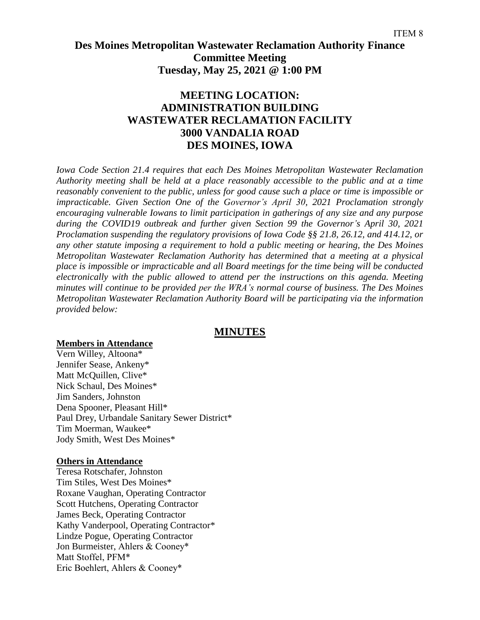# **Des Moines Metropolitan Wastewater Reclamation Authority Finance Committee Meeting Tuesday, May 25, 2021 @ 1:00 PM**

## **MEETING LOCATION: ADMINISTRATION BUILDING WASTEWATER RECLAMATION FACILITY 3000 VANDALIA ROAD DES MOINES, IOWA**

*Iowa Code Section 21.4 requires that each Des Moines Metropolitan Wastewater Reclamation Authority meeting shall be held at a place reasonably accessible to the public and at a time reasonably convenient to the public, unless for good cause such a place or time is impossible or impracticable. Given Section One of the Governor's April 30, 2021 Proclamation strongly encouraging vulnerable Iowans to limit participation in gatherings of any size and any purpose during the COVID19 outbreak and further given Section 99 the Governor's April 30, 2021 Proclamation suspending the regulatory provisions of Iowa Code §§ 21.8, 26.12, and 414.12, or any other statute imposing a requirement to hold a public meeting or hearing, the Des Moines Metropolitan Wastewater Reclamation Authority has determined that a meeting at a physical place is impossible or impracticable and all Board meetings for the time being will be conducted electronically with the public allowed to attend per the instructions on this agenda. Meeting minutes will continue to be provided per the WRA's normal course of business. The Des Moines Metropolitan Wastewater Reclamation Authority Board will be participating via the information provided below:*

## **MINUTES**

#### **Members in Attendance**

Vern Willey, Altoona\* Jennifer Sease, Ankeny\* Matt McQuillen, Clive\* Nick Schaul, Des Moines\* Jim Sanders, Johnston Dena Spooner, Pleasant Hill\* Paul Drey, Urbandale Sanitary Sewer District\* Tim Moerman, Waukee\* Jody Smith, West Des Moines\*

#### **Others in Attendance**

Teresa Rotschafer, Johnston Tim Stiles, West Des Moines\* Roxane Vaughan, Operating Contractor Scott Hutchens, Operating Contractor James Beck, Operating Contractor Kathy Vanderpool, Operating Contractor\* Lindze Pogue, Operating Contractor Jon Burmeister, Ahlers & Cooney\* Matt Stoffel, PFM\* Eric Boehlert, Ahlers & Cooney\*